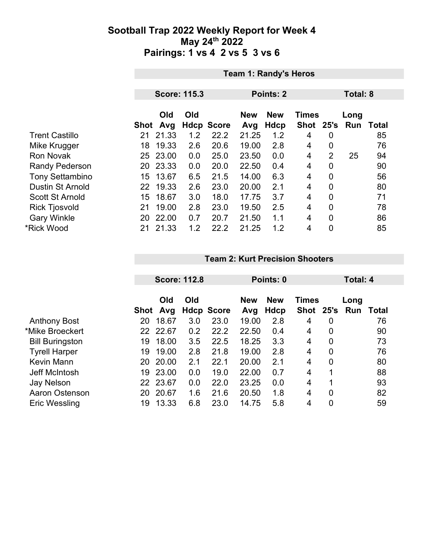|                         | <b>Team 1: Randy's Heros</b> |            |     |                   |                   |                    |                           |                |             |       |
|-------------------------|------------------------------|------------|-----|-------------------|-------------------|--------------------|---------------------------|----------------|-------------|-------|
|                         |                              |            |     |                   |                   |                    |                           |                |             |       |
|                         | <b>Score: 115.3</b>          |            |     |                   | Points: 2         |                    | Total: 8                  |                |             |       |
|                         | Shot                         | Old<br>Avg | Old | <b>Hdcp Score</b> | <b>New</b><br>Avg | <b>New</b><br>Hdcp | <b>Times</b><br>Shot 25's |                | Long<br>Run | Total |
| <b>Trent Castillo</b>   | 21                           | 21.33      | 1.2 | 22.2              | 21.25             | 1.2                | 4                         | 0              |             | 85    |
| Mike Krugger            | 18                           | 19.33      | 2.6 | 20.6              | 19.00             | 2.8                | 4                         | $\mathbf 0$    |             | 76    |
| <b>Ron Novak</b>        |                              | 25 23.00   | 0.0 | 25.0              | 23.50             | 0.0                | 4                         | 2              | 25          | 94    |
| <b>Randy Pederson</b>   |                              | 20 23.33   | 0.0 | 20.0              | 22.50             | 0.4                | 4                         | 0              |             | 90    |
| <b>Tony Settambino</b>  | 15                           | 13.67      | 6.5 | 21.5              | 14.00             | 6.3                | 4                         | $\overline{0}$ |             | 56    |
| <b>Dustin St Arnold</b> | 22                           | 19.33      | 2.6 | 23.0              | 20.00             | 2.1                | 4                         | $\overline{0}$ |             | 80    |
| <b>Scott St Arnold</b>  | 15                           | 18.67      | 3.0 | 18.0              | 17.75             | 3.7                | 4                         | $\mathbf 0$    |             | 71    |
| <b>Rick Tjosvold</b>    | 21                           | 19.00      | 2.8 | 23.0              | 19.50             | 2.5                | 4                         | $\overline{0}$ |             | 78    |
| <b>Gary Winkle</b>      | 20                           | 22.00      | 0.7 | 20.7              | 21.50             | 1.1                | 4                         | $\mathbf 0$    |             | 86    |
| *Rick Wood              | 21                           | 21.33      | 1.2 | 22.2              | 21.25             | 1.2                | 4                         | $\mathbf 0$    |             | 85    |

#### **Team 2: Kurt Precision Shooters**

|                        | <b>Score: 112.8</b> |            |     | Points: 0         |                   |                    |                           | Total: 4       |             |              |
|------------------------|---------------------|------------|-----|-------------------|-------------------|--------------------|---------------------------|----------------|-------------|--------------|
|                        | Shot                | Old<br>Avg | Old | <b>Hdcp Score</b> | <b>New</b><br>Avg | <b>New</b><br>Hdcp | <b>Times</b><br>Shot 25's |                | Long<br>Run | <b>Total</b> |
| <b>Anthony Bost</b>    | 20                  | 18.67      | 3.0 | 23.0              | 19.00             | 2.8                | 4                         | 0              |             | 76           |
| *Mike Broeckert        |                     | 22 22.67   | 0.2 | 22.2              | 22.50             | 0.4                | 4                         | 0              |             | 90           |
| <b>Bill Buringston</b> | 19                  | 18.00      | 3.5 | 22.5              | 18.25             | 3.3                | 4                         | 0              |             | 73           |
| <b>Tyrell Harper</b>   | 19                  | 19.00      | 2.8 | 21.8              | 19.00             | 2.8                | 4                         | 0              |             | 76           |
| Kevin Mann             | 20                  | 20.00      | 2.1 | 22.1              | 20.00             | 2.1                | 4                         | 0              |             | 80           |
| Jeff McIntosh          | 19                  | 23.00      | 0.0 | 19.0              | 22.00             | 0.7                | 4                         | 1              |             | 88           |
| <b>Jay Nelson</b>      | 22                  | 23.67      | 0.0 | 22.0              | 23.25             | 0.0                | 4                         | 1              |             | 93           |
| Aaron Ostenson         | 20                  | 20.67      | 1.6 | 21.6              | 20.50             | 1.8                | 4                         | $\overline{0}$ |             | 82           |
| Eric Wessling          | 19                  | 13.33      | 6.8 | 23.0              | 14.75             | 5.8                | 4                         | 0              |             | 59           |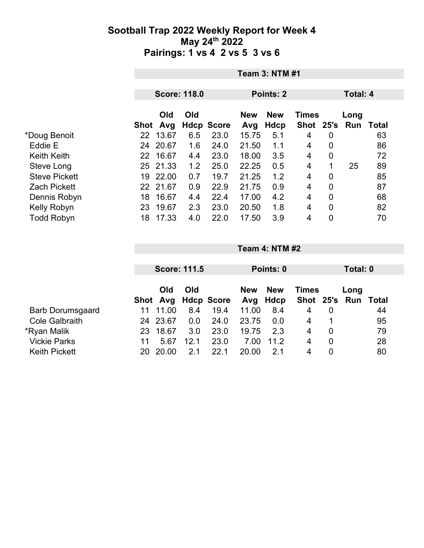|                      |          | <b>Team 3: NTM #1</b> |     |                   |                   |                           |                |                |                             |                 |  |
|----------------------|----------|-----------------------|-----|-------------------|-------------------|---------------------------|----------------|----------------|-----------------------------|-----------------|--|
|                      |          | <b>Score: 118.0</b>   |     |                   |                   | Points: 2                 |                |                |                             | <b>Total: 4</b> |  |
|                      | Shot Avg | <b>Old</b>            | Old | <b>Hdcp Score</b> | <b>New</b><br>Avg | <b>New</b><br><b>Hdcp</b> | <b>Times</b>   |                | Long<br>Shot 25's Run Total |                 |  |
| *Doug Benoit         | 22       | 13.67                 | 6.5 | 23.0              | 15.75             | 5.1                       | 4              | 0              |                             | 63              |  |
| Eddie E              | 24       | 20.67                 | 1.6 | 24.0              | 21.50             | 1.1                       | $\overline{4}$ | 0              |                             | 86              |  |
| <b>Keith Keith</b>   | 22 16.67 |                       | 4.4 | 23.0              | 18.00             | 3.5                       | $\overline{4}$ | 0              |                             | 72              |  |
| Steve Long           | 25 21.33 |                       | 1.2 | 25.0              | 22.25             | 0.5                       | 4              | $\mathbf 1$    | 25                          | 89              |  |
| <b>Steve Pickett</b> | 19       | 22.00                 | 0.7 | 19.7              | 21.25             | 1.2                       | 4              | 0              |                             | 85              |  |
| <b>Zach Pickett</b>  | 22 21.67 |                       | 0.9 | 22.9              | 21.75             | 0.9                       | 4              | 0              |                             | 87              |  |
| Dennis Robyn         | 18       | 16.67                 | 4.4 | 22.4              | 17.00             | 4.2                       | 4              | $\mathbf 0$    |                             | 68              |  |
| Kelly Robyn          | 23       | 19.67                 | 2.3 | 23.0              | 20.50             | 1.8                       | 4              | $\overline{0}$ |                             | 82              |  |
| <b>Todd Robyn</b>    | 18       | 17.33                 | 4.0 | 22.0              | 17.50             | 3.9                       | 4              | 0              |                             | 70              |  |

|                         |    |            | <b>Score: 111.5</b> |                   | Points: 0                                |      |               |   | Total: 0 |       |  |
|-------------------------|----|------------|---------------------|-------------------|------------------------------------------|------|---------------|---|----------|-------|--|
|                         |    | Old<br>Old |                     |                   | <b>New</b><br><b>New</b><br><b>Times</b> |      |               |   | Long     |       |  |
|                         |    | Shot Avg   |                     | <b>Hdcp Score</b> | Avg                                      | Hdcp | Shot 25's Run |   |          | Total |  |
| <b>Barb Dorumsgaard</b> | 11 | 11.00      | 8.4                 | 19.4              | 11.00                                    | 8.4  | 4             | 0 |          | 44    |  |
| <b>Cole Galbraith</b>   | 24 | 23.67      | 0.0                 | 24.0              | 23.75                                    | 0.0  | 4             |   |          | 95    |  |
| *Ryan Malik             | 23 | 18.67      | 3.0                 | 23.0              | 19.75                                    | 2.3  | 4             | 0 |          | 79    |  |
| <b>Vickie Parks</b>     | 11 | 5.67       | 12.1                | 23.0              | 7.00                                     | 11.2 | 4             | 0 |          | 28    |  |
| <b>Keith Pickett</b>    | 20 | 20.00      | 2.1                 | 22.1              | 20.00                                    | 21   | 4             | 0 |          | 80    |  |

**Team 4: NTM #2**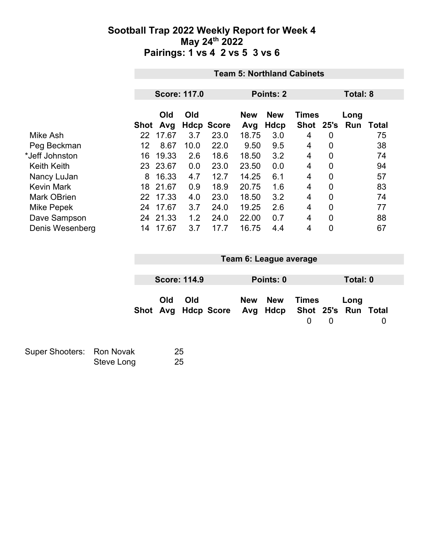|                    |      | <b>Team 5: Northland Cabinets</b> |                     |                   |                   |                    |                           |                |             |       |
|--------------------|------|-----------------------------------|---------------------|-------------------|-------------------|--------------------|---------------------------|----------------|-------------|-------|
|                    |      |                                   |                     |                   |                   |                    |                           |                |             |       |
|                    |      |                                   | <b>Score: 117.0</b> |                   | Points: 2         |                    |                           |                | Total: 8    |       |
|                    | Shot | Old<br>Avg                        | Old                 | <b>Hdcp Score</b> | <b>New</b><br>Avg | <b>New</b><br>Hdcp | <b>Times</b><br>Shot 25's |                | Long<br>Run | Total |
| Mike Ash           | 22   | 17.67                             | 3.7                 | 23.0              | 18.75             | 3.0                | 4                         | 0              |             | 75    |
| Peg Beckman        | 12   | 8.67                              | 10.0                | 22.0              | 9.50              | 9.5                | 4                         | $\mathbf{0}$   |             | 38    |
| *Jeff Johnston     | 16   | 19.33                             | 2.6                 | 18.6              | 18.50             | 3.2                | 4                         | $\overline{0}$ |             | 74    |
| <b>Keith Keith</b> | 23   | 23.67                             | 0.0                 | 23.0              | 23.50             | 0.0                | 4                         | $\overline{0}$ |             | 94    |
| Nancy LuJan        | 8    | 16.33                             | 4.7                 | 12.7              | 14.25             | 6.1                | 4                         | $\mathbf 0$    |             | 57    |
| <b>Kevin Mark</b>  | 18   | 21.67                             | 0.9                 | 18.9              | 20.75             | 1.6                | 4                         | $\mathbf 0$    |             | 83    |
| <b>Mark OBrien</b> | 22   | 17.33                             | 4.0                 | 23.0              | 18.50             | 3.2                | 4                         | $\overline{0}$ |             | 74    |
| Mike Pepek         | 24   | 17.67                             | 3.7                 | 24.0              | 19.25             | 2.6                | 4                         | $\mathbf 0$    |             | 77    |
| Dave Sampson       | 24   | 21.33                             | 1.2                 | 24.0              | 22.00             | 0.7                | 4                         | $\overline{0}$ |             | 88    |
| Denis Wesenberg    | 14   | 17.67                             | 3.7                 | 17.7              | 16.75             | 4.4                | 4                         | 0              |             | 67    |

| Team 6: League average                                  |     |  |            |            |                          |                |          |   |  |
|---------------------------------------------------------|-----|--|------------|------------|--------------------------|----------------|----------|---|--|
|                                                         |     |  |            |            |                          |                |          |   |  |
| <b>Score: 114.9</b>                                     |     |  |            | Points: 0  |                          |                | Total: 0 |   |  |
| Old<br>Shot Avg Hdcp Score Avg Hdcp Shot 25's Run Total | Old |  | <b>New</b> | <b>New</b> | <b>Times</b><br>$\Omega$ | $\overline{0}$ | Long     | 0 |  |

| Super Shooters: Ron Novak |            | 25 |
|---------------------------|------------|----|
|                           | Steve Long | 25 |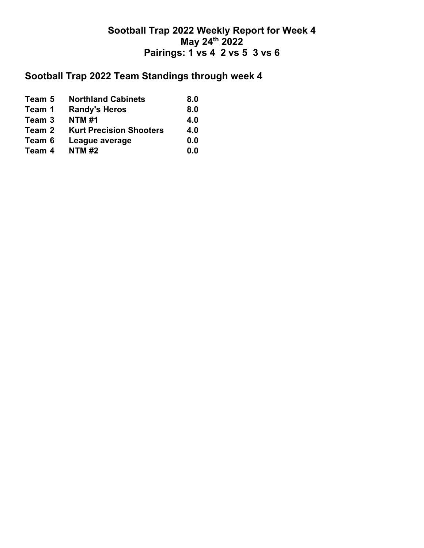# **Sootball Trap 2022 Team Standings through week 4**

| Team 5 | <b>Northland Cabinets</b>      | 8.0 |
|--------|--------------------------------|-----|
| Team 1 | <b>Randy's Heros</b>           | 8.0 |
| Team 3 | <b>NTM#1</b>                   | 4.0 |
| Team 2 | <b>Kurt Precision Shooters</b> | 4.0 |
| Team 6 | League average                 | 0.0 |
| Team 4 | <b>NTM#2</b>                   | 0.0 |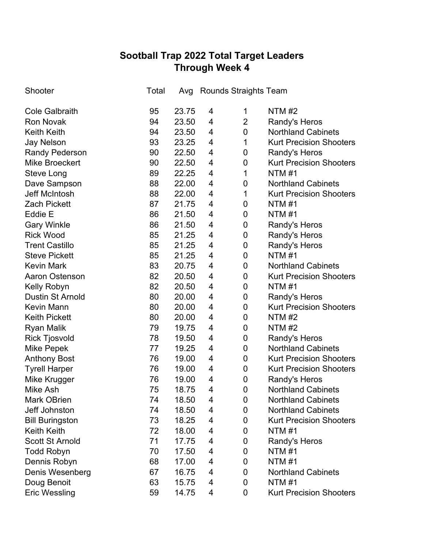## **Sootball Trap 2022 Total Target Leaders Through Week 4**

| Shooter                 | Total | Avg   |   | Rounds Straights Team |                                |
|-------------------------|-------|-------|---|-----------------------|--------------------------------|
| <b>Cole Galbraith</b>   | 95    | 23.75 | 4 | 1                     | <b>NTM#2</b>                   |
| <b>Ron Novak</b>        | 94    | 23.50 | 4 | $\overline{2}$        | <b>Randy's Heros</b>           |
| <b>Keith Keith</b>      | 94    | 23.50 | 4 | $\pmb{0}$             | <b>Northland Cabinets</b>      |
| <b>Jay Nelson</b>       | 93    | 23.25 | 4 | 1                     | <b>Kurt Precision Shooters</b> |
| <b>Randy Pederson</b>   | 90    | 22.50 | 4 | 0                     | Randy's Heros                  |
| <b>Mike Broeckert</b>   | 90    | 22.50 | 4 | 0                     | <b>Kurt Precision Shooters</b> |
| <b>Steve Long</b>       | 89    | 22.25 | 4 | 1                     | NTM #1                         |
| Dave Sampson            | 88    | 22.00 | 4 | 0                     | <b>Northland Cabinets</b>      |
| <b>Jeff McIntosh</b>    | 88    | 22.00 | 4 | 1                     | <b>Kurt Precision Shooters</b> |
| <b>Zach Pickett</b>     | 87    | 21.75 | 4 | 0                     | NTM #1                         |
| Eddie E                 | 86    | 21.50 | 4 | 0                     | <b>NTM#1</b>                   |
| <b>Gary Winkle</b>      | 86    | 21.50 | 4 | 0                     | Randy's Heros                  |
| <b>Rick Wood</b>        | 85    | 21.25 | 4 | 0                     | Randy's Heros                  |
| <b>Trent Castillo</b>   | 85    | 21.25 | 4 | 0                     | Randy's Heros                  |
| <b>Steve Pickett</b>    | 85    | 21.25 | 4 | 0                     | <b>NTM#1</b>                   |
| <b>Kevin Mark</b>       | 83    | 20.75 | 4 | 0                     | <b>Northland Cabinets</b>      |
| <b>Aaron Ostenson</b>   | 82    | 20.50 | 4 | $\mathbf 0$           | <b>Kurt Precision Shooters</b> |
| Kelly Robyn             | 82    | 20.50 | 4 | 0                     | <b>NTM#1</b>                   |
| <b>Dustin St Arnold</b> | 80    | 20.00 | 4 | 0                     | Randy's Heros                  |
| <b>Kevin Mann</b>       | 80    | 20.00 | 4 | $\pmb{0}$             | <b>Kurt Precision Shooters</b> |
| <b>Keith Pickett</b>    | 80    | 20.00 | 4 | 0                     | <b>NTM #2</b>                  |
| <b>Ryan Malik</b>       | 79    | 19.75 | 4 | 0                     | <b>NTM #2</b>                  |
| <b>Rick Tjosvold</b>    | 78    | 19.50 | 4 | 0                     | Randy's Heros                  |
| <b>Mike Pepek</b>       | 77    | 19.25 | 4 | 0                     | <b>Northland Cabinets</b>      |
| <b>Anthony Bost</b>     | 76    | 19.00 | 4 | $\pmb{0}$             | <b>Kurt Precision Shooters</b> |
| <b>Tyrell Harper</b>    | 76    | 19.00 | 4 | 0                     | <b>Kurt Precision Shooters</b> |
| Mike Krugger            | 76    | 19.00 | 4 | 0                     | Randy's Heros                  |
| <b>Mike Ash</b>         | 75    | 18.75 | 4 | $\mathbf 0$           | <b>Northland Cabinets</b>      |
| <b>Mark OBrien</b>      | 74    | 18.50 | 4 | 0                     | <b>Northland Cabinets</b>      |
| <b>Jeff Johnston</b>    | 74    | 18.50 | 4 | 0                     | <b>Northland Cabinets</b>      |
| <b>Bill Buringston</b>  | 73    | 18.25 | 4 | 0                     | <b>Kurt Precision Shooters</b> |
| <b>Keith Keith</b>      | 72    | 18.00 | 4 | 0                     | <b>NTM#1</b>                   |
| <b>Scott St Arnold</b>  | 71    | 17.75 | 4 | 0                     | Randy's Heros                  |
| <b>Todd Robyn</b>       | 70    | 17.50 | 4 | 0                     | <b>NTM#1</b>                   |
| Dennis Robyn            | 68    | 17.00 | 4 | 0                     | <b>NTM#1</b>                   |
| Denis Wesenberg         | 67    | 16.75 | 4 | 0                     | <b>Northland Cabinets</b>      |
| Doug Benoit             | 63    | 15.75 | 4 | 0                     | NTM #1                         |
| <b>Eric Wessling</b>    | 59    | 14.75 | 4 | 0                     | <b>Kurt Precision Shooters</b> |